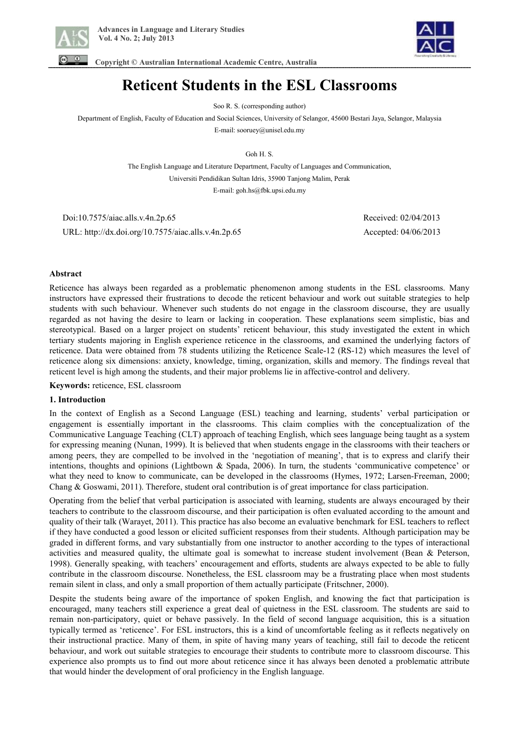



 **Copyright © Australian International Academic Centre, Australia** 

# **Reticent Students in the ESL Classrooms**

Soo R. S. (corresponding author)

Department of English, Faculty of Education and Social Sciences, University of Selangor, 45600 Bestari Jaya, Selangor, Malaysia

E-mail: sooruey@unisel.edu.my

Goh H. S.

The English Language and Literature Department, Faculty of Languages and Communication, Universiti Pendidikan Sultan Idris, 35900 Tanjong Malim, Perak

E-mail: goh.hs@fbk.upsi.edu.my

 Doi:10.7575/aiac.alls.v.4n.2p.65 Received: 02/04/2013 URL: http://dx.doi.org/10.7575/aiac.alls.v.4n.2p.65 Accepted: 04/06/2013

# **Abstract**

Reticence has always been regarded as a problematic phenomenon among students in the ESL classrooms. Many instructors have expressed their frustrations to decode the reticent behaviour and work out suitable strategies to help students with such behaviour. Whenever such students do not engage in the classroom discourse, they are usually regarded as not having the desire to learn or lacking in cooperation. These explanations seem simplistic, bias and stereotypical. Based on a larger project on students' reticent behaviour, this study investigated the extent in which tertiary students majoring in English experience reticence in the classrooms, and examined the underlying factors of reticence. Data were obtained from 78 students utilizing the Reticence Scale-12 (RS-12) which measures the level of reticence along six dimensions: anxiety, knowledge, timing, organization, skills and memory. The findings reveal that reticent level is high among the students, and their major problems lie in affective-control and delivery.

**Keywords:** reticence, ESL classroom

# **1. Introduction**

In the context of English as a Second Language (ESL) teaching and learning, students' verbal participation or engagement is essentially important in the classrooms. This claim complies with the conceptualization of the Communicative Language Teaching (CLT) approach of teaching English, which sees language being taught as a system for expressing meaning (Nunan, 1999). It is believed that when students engage in the classrooms with their teachers or among peers, they are compelled to be involved in the 'negotiation of meaning', that is to express and clarify their intentions, thoughts and opinions (Lightbown & Spada, 2006). In turn, the students 'communicative competence' or what they need to know to communicate, can be developed in the classrooms (Hymes, 1972; Larsen-Freeman, 2000; Chang & Goswami, 2011). Therefore, student oral contribution is of great importance for class participation.

Operating from the belief that verbal participation is associated with learning, students are always encouraged by their teachers to contribute to the classroom discourse, and their participation is often evaluated according to the amount and quality of their talk (Warayet, 2011). This practice has also become an evaluative benchmark for ESL teachers to reflect if they have conducted a good lesson or elicited sufficient responses from their students. Although participation may be graded in different forms, and vary substantially from one instructor to another according to the types of interactional activities and measured quality, the ultimate goal is somewhat to increase student involvement (Bean & Peterson, 1998). Generally speaking, with teachers' encouragement and efforts, students are always expected to be able to fully contribute in the classroom discourse. Nonetheless, the ESL classroom may be a frustrating place when most students remain silent in class, and only a small proportion of them actually participate (Fritschner, 2000).

Despite the students being aware of the importance of spoken English, and knowing the fact that participation is encouraged, many teachers still experience a great deal of quietness in the ESL classroom. The students are said to remain non-participatory, quiet or behave passively. In the field of second language acquisition, this is a situation typically termed as 'reticence'. For ESL instructors, this is a kind of uncomfortable feeling as it reflects negatively on their instructional practice. Many of them, in spite of having many years of teaching, still fail to decode the reticent behaviour, and work out suitable strategies to encourage their students to contribute more to classroom discourse. This experience also prompts us to find out more about reticence since it has always been denoted a problematic attribute that would hinder the development of oral proficiency in the English language.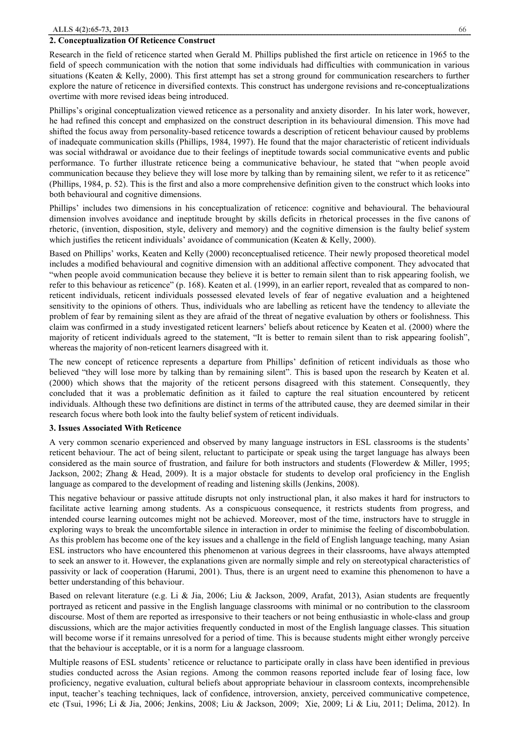#### **2. Conceptualization Of Reticence Construct**

Research in the field of reticence started when Gerald M. Phillips published the first article on reticence in 1965 to the field of speech communication with the notion that some individuals had difficulties with communication in various situations (Keaten & Kelly, 2000). This first attempt has set a strong ground for communication researchers to further explore the nature of reticence in diversified contexts. This construct has undergone revisions and re-conceptualizations overtime with more revised ideas being introduced.

Phillips's original conceptualization viewed reticence as a personality and anxiety disorder. In his later work, however, he had refined this concept and emphasized on the construct description in its behavioural dimension. This move had shifted the focus away from personality-based reticence towards a description of reticent behaviour caused by problems of inadequate communication skills (Phillips, 1984, 1997). He found that the major characteristic of reticent individuals was social withdrawal or avoidance due to their feelings of ineptitude towards social communicative events and public performance. To further illustrate reticence being a communicative behaviour, he stated that "when people avoid communication because they believe they will lose more by talking than by remaining silent, we refer to it as reticence" (Phillips, 1984, p. 52). This is the first and also a more comprehensive definition given to the construct which looks into both behavioural and cognitive dimensions.

Phillips' includes two dimensions in his conceptualization of reticence: cognitive and behavioural. The behavioural dimension involves avoidance and ineptitude brought by skills deficits in rhetorical processes in the five canons of rhetoric, (invention, disposition, style, delivery and memory) and the cognitive dimension is the faulty belief system which justifies the reticent individuals' avoidance of communication (Keaten & Kelly, 2000).

Based on Phillips' works, Keaten and Kelly (2000) reconceptualised reticence. Their newly proposed theoretical model includes a modified behavioural and cognitive dimension with an additional affective component. They advocated that "when people avoid communication because they believe it is better to remain silent than to risk appearing foolish, we refer to this behaviour as reticence" (p. 168). Keaten et al. (1999), in an earlier report, revealed that as compared to nonreticent individuals, reticent individuals possessed elevated levels of fear of negative evaluation and a heightened sensitivity to the opinions of others. Thus, individuals who are labelling as reticent have the tendency to alleviate the problem of fear by remaining silent as they are afraid of the threat of negative evaluation by others or foolishness. This claim was confirmed in a study investigated reticent learners' beliefs about reticence by Keaten et al. (2000) where the majority of reticent individuals agreed to the statement, "It is better to remain silent than to risk appearing foolish", whereas the majority of non-reticent learners disagreed with it.

The new concept of reticence represents a departure from Phillips' definition of reticent individuals as those who believed "they will lose more by talking than by remaining silent". This is based upon the research by Keaten et al. (2000) which shows that the majority of the reticent persons disagreed with this statement. Consequently, they concluded that it was a problematic definition as it failed to capture the real situation encountered by reticent individuals. Although these two definitions are distinct in terms of the attributed cause, they are deemed similar in their research focus where both look into the faulty belief system of reticent individuals.

#### **3. Issues Associated With Reticence**

A very common scenario experienced and observed by many language instructors in ESL classrooms is the students' reticent behaviour. The act of being silent, reluctant to participate or speak using the target language has always been considered as the main source of frustration, and failure for both instructors and students (Flowerdew & Miller, 1995; Jackson, 2002; Zhang & Head, 2009). It is a major obstacle for students to develop oral proficiency in the English language as compared to the development of reading and listening skills (Jenkins, 2008).

This negative behaviour or passive attitude disrupts not only instructional plan, it also makes it hard for instructors to facilitate active learning among students. As a conspicuous consequence, it restricts students from progress, and intended course learning outcomes might not be achieved. Moreover, most of the time, instructors have to struggle in exploring ways to break the uncomfortable silence in interaction in order to minimise the feeling of discombobulation. As this problem has become one of the key issues and a challenge in the field of English language teaching, many Asian ESL instructors who have encountered this phenomenon at various degrees in their classrooms, have always attempted to seek an answer to it. However, the explanations given are normally simple and rely on stereotypical characteristics of passivity or lack of cooperation (Harumi, 2001). Thus, there is an urgent need to examine this phenomenon to have a better understanding of this behaviour.

Based on relevant literature (e.g. Li & Jia, 2006; Liu & Jackson, 2009, Arafat, 2013), Asian students are frequently portrayed as reticent and passive in the English language classrooms with minimal or no contribution to the classroom discourse. Most of them are reported as irresponsive to their teachers or not being enthusiastic in whole-class and group discussions, which are the major activities frequently conducted in most of the English language classes. This situation will become worse if it remains unresolved for a period of time. This is because students might either wrongly perceive that the behaviour is acceptable, or it is a norm for a language classroom.

Multiple reasons of ESL students' reticence or reluctance to participate orally in class have been identified in previous studies conducted across the Asian regions. Among the common reasons reported include fear of losing face, low proficiency, negative evaluation, cultural beliefs about appropriate behaviour in classroom contexts, incomprehensible input, teacher's teaching techniques, lack of confidence, introversion, anxiety, perceived communicative competence, etc (Tsui, 1996; Li & Jia, 2006; Jenkins, 2008; Liu & Jackson, 2009; Xie, 2009; Li & Liu, 2011; Delima, 2012). In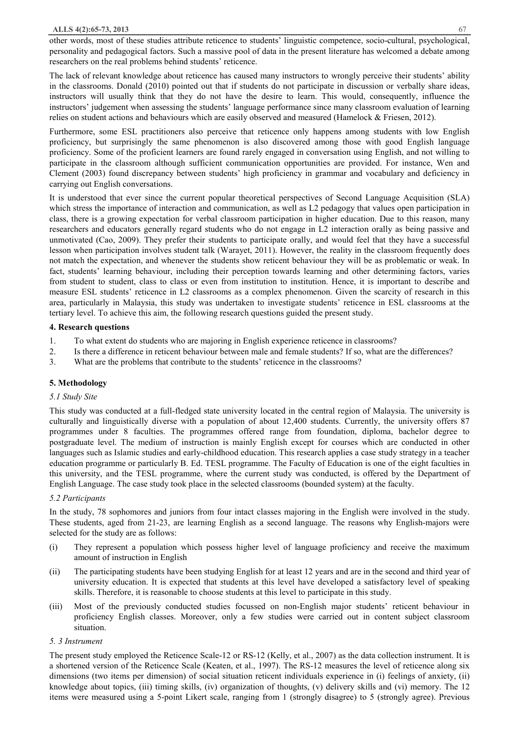other words, most of these studies attribute reticence to students' linguistic competence, socio-cultural, psychological, personality and pedagogical factors. Such a massive pool of data in the present literature has welcomed a debate among researchers on the real problems behind students' reticence.

The lack of relevant knowledge about reticence has caused many instructors to wrongly perceive their students' ability in the classrooms. Donald (2010) pointed out that if students do not participate in discussion or verbally share ideas, instructors will usually think that they do not have the desire to learn. This would, consequently, influence the instructors' judgement when assessing the students' language performance since many classroom evaluation of learning relies on student actions and behaviours which are easily observed and measured (Hamelock & Friesen, 2012).

Furthermore, some ESL practitioners also perceive that reticence only happens among students with low English proficiency, but surprisingly the same phenomenon is also discovered among those with good English language proficiency. Some of the proficient learners are found rarely engaged in conversation using English, and not willing to participate in the classroom although sufficient communication opportunities are provided. For instance, Wen and Clement (2003) found discrepancy between students' high proficiency in grammar and vocabulary and deficiency in carrying out English conversations.

It is understood that ever since the current popular theoretical perspectives of Second Language Acquisition (SLA) which stress the importance of interaction and communication, as well as L2 pedagogy that values open participation in class, there is a growing expectation for verbal classroom participation in higher education. Due to this reason, many researchers and educators generally regard students who do not engage in L2 interaction orally as being passive and unmotivated (Cao, 2009). They prefer their students to participate orally, and would feel that they have a successful lesson when participation involves student talk (Warayet, 2011). However, the reality in the classroom frequently does not match the expectation, and whenever the students show reticent behaviour they will be as problematic or weak. In fact, students' learning behaviour, including their perception towards learning and other determining factors, varies from student to student, class to class or even from institution to institution. Hence, it is important to describe and measure ESL students' reticence in L2 classrooms as a complex phenomenon. Given the scarcity of research in this area, particularly in Malaysia, this study was undertaken to investigate students' reticence in ESL classrooms at the tertiary level. To achieve this aim, the following research questions guided the present study.

# **4. Research questions**

- 1. To what extent do students who are majoring in English experience reticence in classrooms?
- 2. Is there a difference in reticent behaviour between male and female students? If so, what are the differences?
- 3. What are the problems that contribute to the students' reticence in the classrooms?

# **5. Methodology**

# *5.1 Study Site*

This study was conducted at a full-fledged state university located in the central region of Malaysia. The university is culturally and linguistically diverse with a population of about 12,400 students. Currently, the university offers 87 programmes under 8 faculties. The programmes offered range from foundation, diploma, bachelor degree to postgraduate level. The medium of instruction is mainly English except for courses which are conducted in other languages such as Islamic studies and early-childhood education. This research applies a case study strategy in a teacher education programme or particularly B. Ed. TESL programme. The Faculty of Education is one of the eight faculties in this university, and the TESL programme, where the current study was conducted, is offered by the Department of English Language. The case study took place in the selected classrooms (bounded system) at the faculty.

# *5.2 Participants*

In the study, 78 sophomores and juniors from four intact classes majoring in the English were involved in the study. These students, aged from 21-23, are learning English as a second language. The reasons why English-majors were selected for the study are as follows:

- (i) They represent a population which possess higher level of language proficiency and receive the maximum amount of instruction in English
- (ii) The participating students have been studying English for at least 12 years and are in the second and third year of university education. It is expected that students at this level have developed a satisfactory level of speaking skills. Therefore, it is reasonable to choose students at this level to participate in this study.
- (iii) Most of the previously conducted studies focussed on non-English major students' reticent behaviour in proficiency English classes. Moreover, only a few studies were carried out in content subject classroom situation.

# *5. 3 Instrument*

The present study employed the Reticence Scale-12 or RS-12 (Kelly, et al., 2007) as the data collection instrument. It is a shortened version of the Reticence Scale (Keaten, et al., 1997). The RS-12 measures the level of reticence along six dimensions (two items per dimension) of social situation reticent individuals experience in (i) feelings of anxiety, (ii) knowledge about topics, (iii) timing skills, (iv) organization of thoughts, (v) delivery skills and (vi) memory. The 12 items were measured using a 5-point Likert scale, ranging from 1 (strongly disagree) to 5 (strongly agree). Previous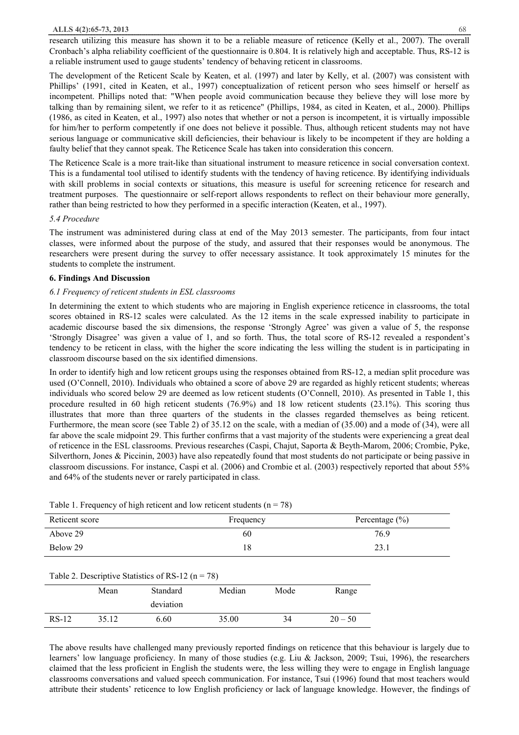research utilizing this measure has shown it to be a reliable measure of reticence (Kelly et al., 2007). The overall Cronbach's alpha reliability coefficient of the questionnaire is 0.804. It is relatively high and acceptable. Thus, RS-12 is a reliable instrument used to gauge students' tendency of behaving reticent in classrooms.

The development of the Reticent Scale by Keaten, et al. (1997) and later by Kelly, et al. (2007) was consistent with Phillips' (1991, cited in Keaten, et al., 1997) conceptualization of reticent person who sees himself or herself as incompetent. Phillips noted that: "When people avoid communication because they believe they will lose more by talking than by remaining silent, we refer to it as reticence" (Phillips, 1984, as cited in Keaten, et al., 2000). Phillips (1986, as cited in Keaten, et al., 1997) also notes that whether or not a person is incompetent, it is virtually impossible for him/her to perform competently if one does not believe it possible. Thus, although reticent students may not have serious language or communicative skill deficiencies, their behaviour is likely to be incompetent if they are holding a faulty belief that they cannot speak. The Reticence Scale has taken into consideration this concern.

The Reticence Scale is a more trait-like than situational instrument to measure reticence in social conversation context. This is a fundamental tool utilised to identify students with the tendency of having reticence. By identifying individuals with skill problems in social contexts or situations, this measure is useful for screening reticence for research and treatment purposes. The questionnaire or self-report allows respondents to reflect on their behaviour more generally, rather than being restricted to how they performed in a specific interaction (Keaten, et al., 1997).

## *5.4 Procedure*

The instrument was administered during class at end of the May 2013 semester. The participants, from four intact classes, were informed about the purpose of the study, and assured that their responses would be anonymous. The researchers were present during the survey to offer necessary assistance. It took approximately 15 minutes for the students to complete the instrument.

# **6. Findings And Discussion**

# *6.1 Frequency of reticent students in ESL classrooms*

In determining the extent to which students who are majoring in English experience reticence in classrooms, the total scores obtained in RS-12 scales were calculated. As the 12 items in the scale expressed inability to participate in academic discourse based the six dimensions, the response 'Strongly Agree' was given a value of 5, the response 'Strongly Disagree' was given a value of 1, and so forth. Thus, the total score of RS-12 revealed a respondent's tendency to be reticent in class, with the higher the score indicating the less willing the student is in participating in classroom discourse based on the six identified dimensions.

In order to identify high and low reticent groups using the responses obtained from RS-12, a median split procedure was used (O'Connell, 2010). Individuals who obtained a score of above 29 are regarded as highly reticent students; whereas individuals who scored below 29 are deemed as low reticent students (O'Connell, 2010). As presented in Table 1, this procedure resulted in 60 high reticent students (76.9%) and 18 low reticent students (23.1%). This scoring thus illustrates that more than three quarters of the students in the classes regarded themselves as being reticent. Furthermore, the mean score (see Table 2) of 35.12 on the scale, with a median of (35.00) and a mode of (34), were all far above the scale midpoint 29. This further confirms that a vast majority of the students were experiencing a great deal of reticence in the ESL classrooms. Previous researches (Caspi, Chajut, Saporta & Beyth-Marom, 2006; Crombie, Pyke, Silverthorn, Jones & Piccinin, 2003) have also repeatedly found that most students do not participate or being passive in classroom discussions. For instance, Caspi et al. (2006) and Crombie et al. (2003) respectively reported that about 55% and 64% of the students never or rarely participated in class.

## Table 1. Frequency of high reticent and low reticent students ( $n = 78$ )

| Reticent score | Frequency | Percentage $(\% )$ |  |  |
|----------------|-----------|--------------------|--|--|
| Above 29       | 60        | 76.9               |  |  |
| Below 29       |           | 23.1               |  |  |

### Table 2. Descriptive Statistics of RS-12 ( $n = 78$ )

|         | Mean  | Standard  | Median | Mode | Range     |  |
|---------|-------|-----------|--------|------|-----------|--|
|         |       | deviation |        |      |           |  |
| $RS-12$ | 35.12 | 6.60      | 35.00  | 34   | $20 - 50$ |  |

The above results have challenged many previously reported findings on reticence that this behaviour is largely due to learners' low language proficiency. In many of those studies (e.g. Liu & Jackson, 2009; Tsui, 1996), the researchers claimed that the less proficient in English the students were, the less willing they were to engage in English language classrooms conversations and valued speech communication. For instance, Tsui (1996) found that most teachers would attribute their students' reticence to low English proficiency or lack of language knowledge. However, the findings of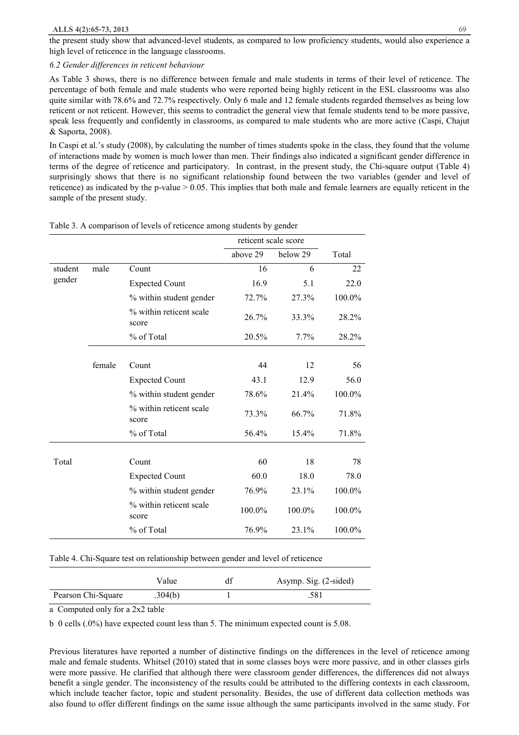the present study show that advanced-level students, as compared to low proficiency students, would also experience a high level of reticence in the language classrooms.

## *6.2 Gender differences in reticent behaviour*

As Table 3 shows, there is no difference between female and male students in terms of their level of reticence. The percentage of both female and male students who were reported being highly reticent in the ESL classrooms was also quite similar with 78.6% and 72.7% respectively. Only 6 male and 12 female students regarded themselves as being low reticent or not reticent. However, this seems to contradict the general view that female students tend to be more passive, speak less frequently and confidently in classrooms, as compared to male students who are more active (Caspi, Chajut & Saporta, 2008).

In Caspi et al.'s study (2008), by calculating the number of times students spoke in the class, they found that the volume of interactions made by women is much lower than men. Their findings also indicated a significant gender difference in terms of the degree of reticence and participatory. In contrast, in the present study, the Chi-square output (Table 4) surprisingly shows that there is no significant relationship found between the two variables (gender and level of reticence) as indicated by the p-value > 0.05. This implies that both male and female learners are equally reticent in the sample of the present study.

|         |        |                                  | reticent scale score |          |        |
|---------|--------|----------------------------------|----------------------|----------|--------|
|         |        |                                  | above 29             | below 29 | Total  |
| student | male   | Count                            | 16                   | 6        | 22     |
| gender  |        | <b>Expected Count</b>            | 16.9                 | 5.1      | 22.0   |
|         |        | % within student gender          | 72.7%                | 27.3%    | 100.0% |
|         |        | % within reticent scale<br>score | 26.7%                | 33.3%    | 28.2%  |
|         |        | % of Total                       | 20.5%                | 7.7%     | 28.2%  |
|         |        |                                  |                      |          |        |
|         | female | Count                            | 44                   | 12       | 56     |
|         |        | <b>Expected Count</b>            | 43.1                 | 12.9     | 56.0   |
|         |        | % within student gender          | 78.6%                | 21.4%    | 100.0% |
|         |        | % within reticent scale<br>score | 73.3%                | 66.7%    | 71.8%  |
|         |        | % of Total                       | 56.4%                | 15.4%    | 71.8%  |
|         |        |                                  |                      |          |        |
| Total   |        | Count                            | 60                   | 18       | 78     |
|         |        | <b>Expected Count</b>            | 60.0                 | 18.0     | 78.0   |
|         |        | % within student gender          | 76.9%                | 23.1%    | 100.0% |
|         |        | % within reticent scale<br>score | 100.0%               | 100.0%   | 100.0% |
|         |        | % of Total                       | 76.9%                | 23.1%    | 100.0% |

Table 3. A comparison of levels of reticence among students by gender

Table 4. Chi-Square test on relationship between gender and level of reticence

|                    | Value   | df | Asymp. Sig. (2-sided) |
|--------------------|---------|----|-----------------------|
| Pearson Chi-Square | .304(b) |    | .581                  |
|                    |         |    |                       |

a Computed only for a 2x2 table

b 0 cells (.0%) have expected count less than 5. The minimum expected count is 5.08.

Previous literatures have reported a number of distinctive findings on the differences in the level of reticence among male and female students. Whitsel (2010) stated that in some classes boys were more passive, and in other classes girls were more passive. He clarified that although there were classroom gender differences, the differences did not always benefit a single gender. The inconsistency of the results could be attributed to the differing contexts in each classroom, which include teacher factor, topic and student personality. Besides, the use of different data collection methods was also found to offer different findings on the same issue although the same participants involved in the same study. For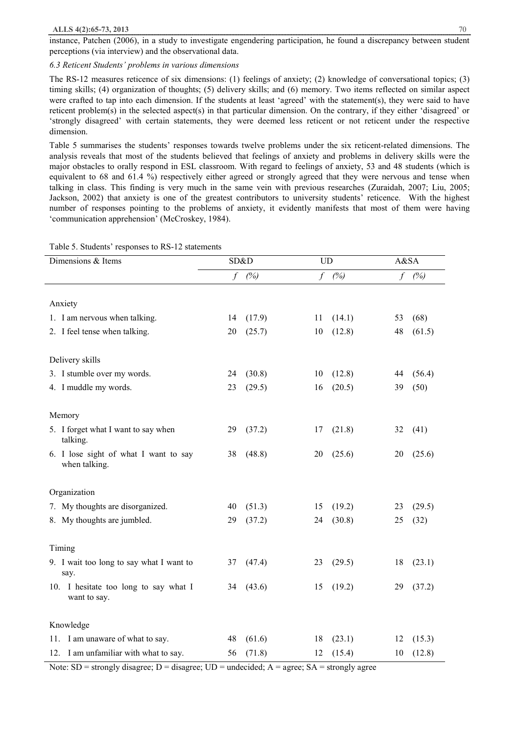instance, Patchen (2006), in a study to investigate engendering participation, he found a discrepancy between student perceptions (via interview) and the observational data.

## *6.3 Reticent Students' problems in various dimensions*

The RS-12 measures reticence of six dimensions: (1) feelings of anxiety; (2) knowledge of conversational topics; (3) timing skills; (4) organization of thoughts; (5) delivery skills; and (6) memory. Two items reflected on similar aspect were crafted to tap into each dimension. If the students at least 'agreed' with the statement(s), they were said to have reticent problem(s) in the selected aspect(s) in that particular dimension. On the contrary, if they either 'disagreed' or 'strongly disagreed' with certain statements, they were deemed less reticent or not reticent under the respective dimension.

Table 5 summarises the students' responses towards twelve problems under the six reticent-related dimensions. The analysis reveals that most of the students believed that feelings of anxiety and problems in delivery skills were the major obstacles to orally respond in ESL classroom. With regard to feelings of anxiety, 53 and 48 students (which is equivalent to 68 and 61.4 %) respectively either agreed or strongly agreed that they were nervous and tense when talking in class. This finding is very much in the same vein with previous researches (Zuraidah, 2007; Liu, 2005; Jackson, 2002) that anxiety is one of the greatest contributors to university students' reticence. With the highest number of responses pointing to the problems of anxiety, it evidently manifests that most of them were having 'communication apprehension' (McCroskey, 1984).

| Dimensions & Items                                     |                                                                                                                                                                                                            | SD&D                     |                                      | <b>UD</b>      |                                           | A&SA           |  |
|--------------------------------------------------------|------------------------------------------------------------------------------------------------------------------------------------------------------------------------------------------------------------|--------------------------|--------------------------------------|----------------|-------------------------------------------|----------------|--|
|                                                        |                                                                                                                                                                                                            | (%)                      |                                      | (%)            | $\int$                                    | (%)            |  |
|                                                        |                                                                                                                                                                                                            |                          |                                      |                |                                           |                |  |
|                                                        |                                                                                                                                                                                                            |                          |                                      |                |                                           |                |  |
|                                                        |                                                                                                                                                                                                            |                          |                                      |                |                                           | (68)           |  |
|                                                        |                                                                                                                                                                                                            |                          |                                      |                |                                           | (61.5)         |  |
| Delivery skills                                        |                                                                                                                                                                                                            |                          |                                      |                |                                           |                |  |
| 3. I stumble over my words.                            | 24                                                                                                                                                                                                         | (30.8)                   | 10                                   | (12.8)         | 44                                        | (56.4)         |  |
| 4. I muddle my words.                                  | 23                                                                                                                                                                                                         | (29.5)                   | 16                                   | (20.5)         | 39                                        | (50)           |  |
|                                                        |                                                                                                                                                                                                            |                          |                                      |                |                                           |                |  |
|                                                        |                                                                                                                                                                                                            |                          |                                      |                |                                           |                |  |
| talking.                                               | 29                                                                                                                                                                                                         |                          | 17                                   |                | 32                                        | (41)           |  |
| 6. I lose sight of what I want to say<br>when talking. | 38                                                                                                                                                                                                         | (48.8)                   | 20                                   | (25.6)         | 20                                        | (25.6)         |  |
| Organization                                           |                                                                                                                                                                                                            |                          |                                      |                |                                           |                |  |
| 7. My thoughts are disorganized.                       | 40                                                                                                                                                                                                         | (51.3)                   | 15                                   | (19.2)         | 23                                        | (29.5)         |  |
| 8. My thoughts are jumbled.                            | 29                                                                                                                                                                                                         | (37.2)                   | 24                                   | (30.8)         | 25                                        | (32)           |  |
|                                                        |                                                                                                                                                                                                            |                          |                                      |                |                                           |                |  |
| Timing                                                 |                                                                                                                                                                                                            |                          |                                      |                |                                           |                |  |
| say.                                                   |                                                                                                                                                                                                            |                          |                                      |                |                                           | (23.1)         |  |
| 10. I hesitate too long to say what I<br>want to say.  | 34                                                                                                                                                                                                         | (43.6)                   | 15                                   | (19.2)         | 29                                        | (37.2)         |  |
| Knowledge                                              |                                                                                                                                                                                                            |                          |                                      |                |                                           |                |  |
|                                                        | 48                                                                                                                                                                                                         | (61.6)                   | 18                                   | (23.1)         | 12                                        | (15.3)         |  |
| 12. I am unfamiliar with what to say.                  | 56                                                                                                                                                                                                         | (71.8)                   | 12                                   | (15.4)         | 10                                        | (12.8)         |  |
|                                                        | Anxiety<br>1. I am nervous when talking.<br>2. I feel tense when talking.<br>Memory<br>5. I forget what I want to say when<br>9. I wait too long to say what I want to<br>11. I am unaware of what to say. | $\int$<br>14<br>20<br>37 | (17.9)<br>(25.7)<br>(37.2)<br>(47.4) | 11<br>10<br>23 | f<br>(14.1)<br>(12.8)<br>(21.8)<br>(29.5) | 53<br>48<br>18 |  |

Table 5. Students' responses to RS-12 statements

Note:  $SD =$  strongly disagree;  $D =$  disagree;  $UD =$  undecided;  $A =$  agree;  $SA =$  strongly agree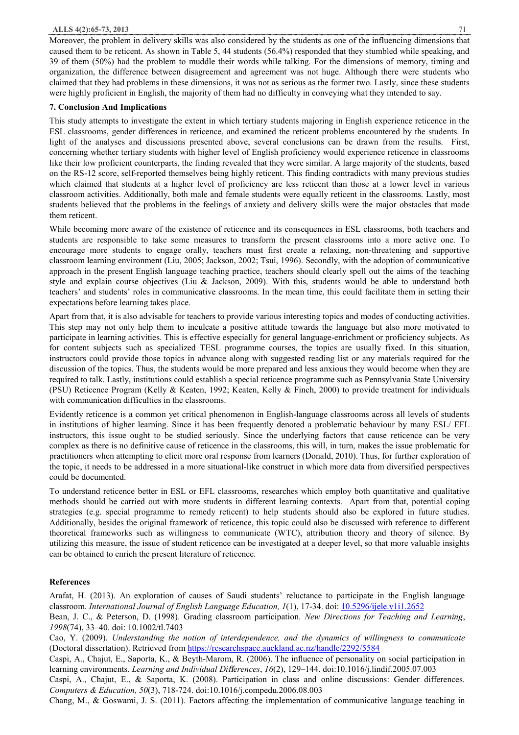Moreover, the problem in delivery skills was also considered by the students as one of the influencing dimensions that caused them to be reticent. As shown in Table 5, 44 students (56.4%) responded that they stumbled while speaking, and 39 of them (50%) had the problem to muddle their words while talking. For the dimensions of memory, timing and organization, the difference between disagreement and agreement was not huge. Although there were students who claimed that they had problems in these dimensions, it was not as serious as the former two. Lastly, since these students were highly proficient in English, the majority of them had no difficulty in conveying what they intended to say.

# **7. Conclusion And Implications**

This study attempts to investigate the extent in which tertiary students majoring in English experience reticence in the ESL classrooms, gender differences in reticence, and examined the reticent problems encountered by the students. In light of the analyses and discussions presented above, several conclusions can be drawn from the results. First, concerning whether tertiary students with higher level of English proficiency would experience reticence in classrooms like their low proficient counterparts, the finding revealed that they were similar. A large majority of the students, based on the RS-12 score, self-reported themselves being highly reticent. This finding contradicts with many previous studies which claimed that students at a higher level of proficiency are less reticent than those at a lower level in various classroom activities. Additionally, both male and female students were equally reticent in the classrooms. Lastly, most students believed that the problems in the feelings of anxiety and delivery skills were the major obstacles that made them reticent.

While becoming more aware of the existence of reticence and its consequences in ESL classrooms, both teachers and students are responsible to take some measures to transform the present classrooms into a more active one. To encourage more students to engage orally, teachers must first create a relaxing, non-threatening and supportive classroom learning environment (Liu, 2005; Jackson, 2002; Tsui, 1996). Secondly, with the adoption of communicative approach in the present English language teaching practice, teachers should clearly spell out the aims of the teaching style and explain course objectives (Liu & Jackson, 2009). With this, students would be able to understand both teachers' and students' roles in communicative classrooms. In the mean time, this could facilitate them in setting their expectations before learning takes place.

Apart from that, it is also advisable for teachers to provide various interesting topics and modes of conducting activities. This step may not only help them to inculcate a positive attitude towards the language but also more motivated to participate in learning activities. This is effective especially for general language-enrichment or proficiency subjects. As for content subjects such as specialized TESL programme courses, the topics are usually fixed. In this situation, instructors could provide those topics in advance along with suggested reading list or any materials required for the discussion of the topics. Thus, the students would be more prepared and less anxious they would become when they are required to talk. Lastly, institutions could establish a special reticence programme such as Pennsylvania State University (PSU) Reticence Program (Kelly & Keaten, 1992; Keaten, Kelly & Finch, 2000) to provide treatment for individuals with communication difficulties in the classrooms.

Evidently reticence is a common yet critical phenomenon in English-language classrooms across all levels of students in institutions of higher learning. Since it has been frequently denoted a problematic behaviour by many ESL/ EFL instructors, this issue ought to be studied seriously. Since the underlying factors that cause reticence can be very complex as there is no definitive cause of reticence in the classrooms, this will, in turn, makes the issue problematic for practitioners when attempting to elicit more oral response from learners (Donald, 2010). Thus, for further exploration of the topic, it needs to be addressed in a more situational-like construct in which more data from diversified perspectives could be documented.

To understand reticence better in ESL or EFL classrooms, researches which employ both quantitative and qualitative methods should be carried out with more students in different learning contexts. Apart from that, potential coping strategies (e.g. special programme to remedy reticent) to help students should also be explored in future studies. Additionally, besides the original framework of reticence, this topic could also be discussed with reference to different theoretical frameworks such as willingness to communicate (WTC), attribution theory and theory of silence. By utilizing this measure, the issue of student reticence can be investigated at a deeper level, so that more valuable insights can be obtained to enrich the present literature of reticence.

# **References**

Arafat, H. (2013). An exploration of causes of Saudi students' reluctance to participate in the English language classroom. *International Journal of English Language Education, 1*(1), 17-34. doi: 10.5296/ijele.v1i1.2652

Bean, J. C., & Peterson, D. (1998). Grading classroom participation. *New Directions for Teaching and Learning*, *1998*(74), 33–40. doi: 10.1002/tl.7403

Cao, Y. (2009). *Understanding the notion of interdependence, and the dynamics of willingness to communicate* (Doctoral dissertation). Retrieved from https://researchspace.auckland.ac.nz/handle/2292/5584

Caspi, A., Chajut, E., Saporta, K., & Beyth-Marom, R. (2006). The influence of personality on social participation in learning environments. *Learning and Individual Differences*, *16*(2), 129–144. doi:10.1016/j.lindif.2005.07.003

Caspi, A., Chajut, E., & Saporta, K. (2008). Participation in class and online discussions: Gender differences. *Computers & Education, 50*(3), 718-724. doi:10.1016/j.compedu.2006.08.003

Chang, M., & Goswami, J. S. (2011). Factors affecting the implementation of communicative language teaching in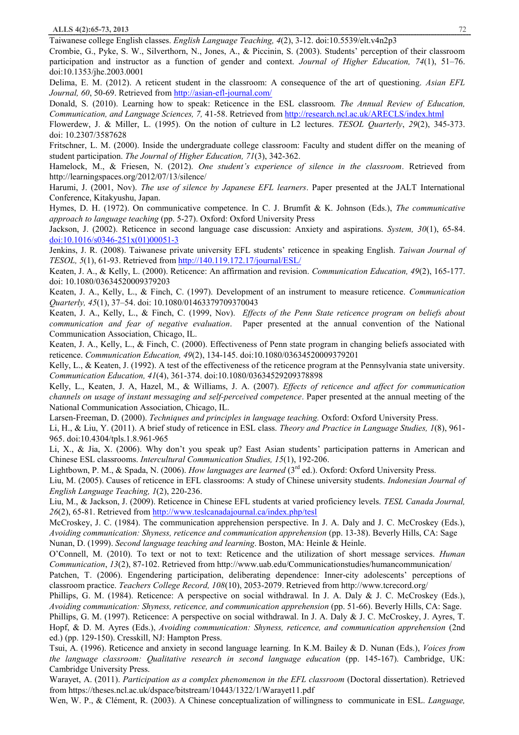Taiwanese college English classes. *English Language Teaching, 4*(2), 3-12. doi:10.5539/elt.v4n2p3

Crombie, G., Pyke, S. W., Silverthorn, N., Jones, A., & Piccinin, S. (2003). Students' perception of their classroom participation and instructor as a function of gender and context. *Journal of Higher Education, 74*(1), 51–76. doi:10.1353/jhe.2003.0001

Delima, E. M. (2012). A reticent student in the classroom: A consequence of the art of questioning. *Asian EFL Journal, 60*, 50-69. Retrieved from http://asian-efl-journal.com/

Donald, S. (2010). Learning how to speak: Reticence in the ESL classroom. *The Annual Review of Education, Communication, and Language Sciences, 7,* 41-58. Retrieved from http://research.ncl.ac.uk/ARECLS/index.html

Flowerdew, J. & Miller, L. (1995). On the notion of culture in L2 lectures. *TESOL Quarterly*, *29*(2), 345-373. doi: 10.2307/3587628

Fritschner, L. M. (2000). Inside the undergraduate college classroom: Faculty and student differ on the meaning of student participation. *The Journal of Higher Education, 71*(3), 342-362.

Hamelock, M., & Friesen, N. (2012). *One student's experience of silence in the classroom*. Retrieved from http://learningspaces.org/2012/07/13/silence/

Harumi, J. (2001, Nov). *The use of silence by Japanese EFL learners*. Paper presented at the JALT International Conference, Kitakyushu, Japan.

Hymes, D. H. (1972). On communicative competence. In C. J. Brumfit & K. Johnson (Eds.), *The communicative approach to language teaching* (pp. 5-27). Oxford: Oxford University Press

Jackson, J. (2002). Reticence in second language case discussion: Anxiety and aspirations. *System, 30*(1), 65-84. doi:10.1016/s0346-251x(01)00051-3

Jenkins, J. R. (2008). Taiwanese private university EFL students' reticence in speaking English. *Taiwan Journal of TESOL, 5*(1), 61-93. Retrieved from http://140.119.172.17/journal/ESL/

Keaten, J. A., & Kelly, L. (2000). Reticence: An affirmation and revision. *Communication Education, 49*(2), 165-177. doi: 10.1080/03634520009379203

Keaten, J. A., Kelly, L., & Finch, C. (1997). Development of an instrument to measure reticence. *Communication Quarterly, 45*(1), 37–54. doi: 10.1080/01463379709370043

Keaten, J. A., Kelly, L., & Finch, C. (1999, Nov). *Effects of the Penn State reticence program on beliefs about communication and fear of negative evaluation*. Paper presented at the annual convention of the National Communication Association, Chicago, IL.

Keaten, J. A., Kelly, L., & Finch, C. (2000). Effectiveness of Penn state program in changing beliefs associated with reticence. *Communication Education, 49*(2), 134-145. doi:10.1080/03634520009379201

Kelly, L., & Keaten, J. (1992). A test of the effectiveness of the reticence program at the Pennsylvania state university. *Communication Education, 41*(4), 361-374. doi:10.1080/03634529209378898

Kelly, L., Keaten, J. A, Hazel, M., & Williams, J. A. (2007). *Effects of reticence and affect for communication channels on usage of instant messaging and self-perceived competence*. Paper presented at the annual meeting of the National Communication Association, Chicago, IL.

Larsen-Freeman, D. (2000). *Techniques and principles in language teaching.* Oxford: Oxford University Press.

Li, H., & Liu, Y. (2011). A brief study of reticence in ESL class. *Theory and Practice in Language Studies, 1*(8), 961- 965. doi:10.4304/tpls.1.8.961-965

Li, X., & Jia, X. (2006). Why don't you speak up? East Asian students' participation patterns in American and Chinese ESL classrooms. *Intercultural Communication Studies, 15*(1), 192-206.

Lightbown, P. M., & Spada, N. (2006). *How languages are learned* (3<sup>rd</sup> ed.). Oxford: Oxford University Press.

Liu, M. (2005). Causes of reticence in EFL classrooms: A study of Chinese university students. *Indonesian Journal of English Language Teaching, 1*(2), 220-236.

Liu, M., & Jackson, J. (2009). Reticence in Chinese EFL students at varied proficiency levels. *TESL Canada Journal, 26*(2), 65-81. Retrieved from http://www.teslcanadajournal.ca/index.php/tesl

McCroskey, J. C. (1984). The communication apprehension perspective. In J. A. Daly and J. C. McCroskey (Eds.), *Avoiding communication: Shyness, reticence and communication apprehension* (pp. 13-38). Beverly Hills, CA: Sage

Nunan, D. (1999). *Second language teaching and learning*. Boston, MA: Heinle & Heinle.

O'Connell, M. (2010). To text or not to text: Reticence and the utilization of short message services. *Human Communication*, *13*(2), 87-102. Retrieved from http://www.uab.edu/Communicationstudies/humancommunication/

Patchen, T. (2006). Engendering participation, deliberating dependence: Inner-city adolescents' perceptions of classroom practice. *Teachers College Record, 108*(10), 2053-2079. Retrieved from http://www.tcrecord.org/

Phillips, G. M. (1984). Reticence: A perspective on social withdrawal. In J. A. Daly & J. C. McCroskey (Eds.), *Avoiding communication: Shyness, reticence, and communication apprehension* (pp. 51-66). Beverly Hills, CA: Sage.

Phillips, G. M. (1997). Reticence: A perspective on social withdrawal. In J. A. Daly & J. C. McCroskey, J. Ayres, T. Hopf, & D. M. Ayres (Eds.), *Avoiding communication: Shyness, reticence, and communication apprehension* (2nd ed.) (pp. 129-150). Cresskill, NJ: Hampton Press.

Tsui, A. (1996). Reticence and anxiety in second language learning. In K.M. Bailey & D. Nunan (Eds.), *Voices from the language classroom: Qualitative research in second language education* (pp. 145-167). Cambridge, UK: Cambridge University Press.

Warayet, A. (2011). *Participation as a complex phenomenon in the EFL classroom* (Doctoral dissertation). Retrieved from https://theses.ncl.ac.uk/dspace/bitstream/10443/1322/1/Warayet11.pdf

Wen, W. P., & Clément, R. (2003). A Chinese conceptualization of willingness to communicate in ESL. *Language,*